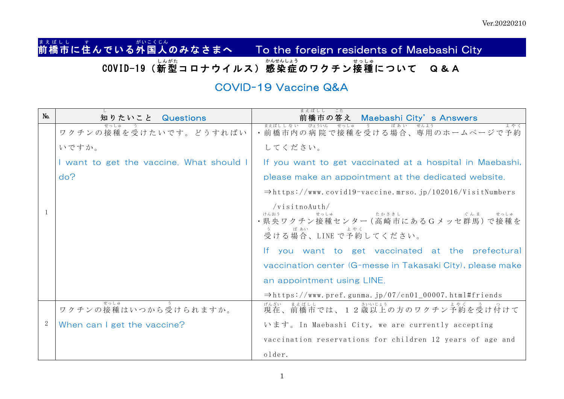## まぇばしし……す<br>**前橋市に住んでいる外国人のみなさまへ** To the foreign residents of Maebashi City COVID-19(新型 しん がた コロナウイルス)感染 症 かんせんしょう のワクチン接種 せっ しゅ について Q&A

## COVID-19 Vaccine Q&A

| No. | 知りたいこと Questions                         | 前橋市の答え Maebashi City's Answers                                                                          |
|-----|------------------------------------------|---------------------------------------------------------------------------------------------------------|
|     | ワクチンの接種を受けたいです。どうすればい                    | • 前橋市内の病院で接種を受ける場合、専用のホームページで予約                                                                         |
|     | いですか。                                    | してください。                                                                                                 |
|     | I want to get the vaccine. What should I | If you want to get vaccinated at a hospital in Maebashi,                                                |
|     | do?                                      | please make an appointment at the dedicated website.                                                    |
|     |                                          | $\Rightarrow$ https://www.covid19-vaccine.mrso.jp/102016/VisitNumbers                                   |
|     |                                          | $/\nu$ isitnoAuth/<br>けんおう<br>たかさきし<br>ぐんま<br>·県央ワクチン接種センター (高崎市にあるGメッセ群馬)で接種を<br>受ける場合、LINE で予約してください。 |
|     |                                          | If you want to get vaccinated at the prefectural                                                        |
|     |                                          | vaccination center (G-messe in Takasaki City), please make                                              |
|     |                                          | an appointment using LINE.                                                                              |
|     |                                          | $\Rightarrow$ https://www.pref.gunma.jp/07/cn01_00007.html#friends                                      |
|     | せっしゅ<br>ワクチンの接種はいつから受けられますか。             | 現在、前橋市では、12歳以上の方のワクチン予約を受け付けて                                                                           |
| 2   | When can I get the vaccine?              | います。 In Maebashi City, we are currently accepting                                                       |
|     |                                          | vaccination reservations for children 12 years of age and                                               |
|     |                                          | older.                                                                                                  |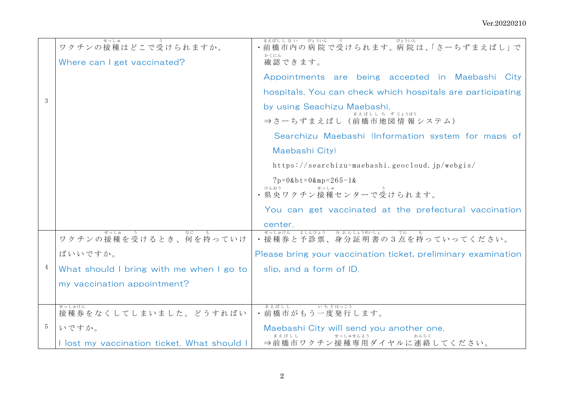| 3 | せっしゅ<br>ワクチンの接種はどこで受けられますか。<br>Where can I get vaccinated?                                                          | まえばしし ない びょういん<br>びょういん<br>う<br>前橋市内の病院で受けられます。病院は、「さーちずまえばし」で<br>かくにん<br>確認できます。<br>Appointments are being accepted in Maebashi City<br>hospitals. You can check which hospitals are participating<br>by using Seachizu Maebashi.<br>まえばしし ち ず じょうほう<br>⇒さーちずまえばし(前橋市地図情報システム) |
|---|---------------------------------------------------------------------------------------------------------------------|---------------------------------------------------------------------------------------------------------------------------------------------------------------------------------------------------------------------------------------------------------------------------------|
|   |                                                                                                                     | Searchizu Maebashi (Information system for maps of<br>Maebashi City)<br>https://searchizu-maebashi.geocloud.jp/webgis/<br>$?p=0$ &bt=0∓=265-1&<br>You can get vaccinated at the prefectural vaccination<br>center.                                                              |
| 4 | せっしゅ<br>ワクチンの接種を受けるとき、何を持っていけ<br>ばいいですか。<br>What should I bring with me when I go to<br>my vaccination appointment? | せっしゅけん<br>よしんひょう みぶんしょうめいしょ<br>てん<br>• 接種券と予診票、身分証明書の3点を持っていってください。<br>Please bring your vaccination ticket, preliminary examination<br>slip, and a form of ID.                                                                                                                 |
| 5 | せっしゅけん<br>接種券をなくしてしまいました。どうすればい<br>いですか。<br>I lost my vaccination ticket. What should I                             | まえばしし<br>いちどはっこう<br>• 前橋市がもう一度発行します。<br>Maebashi City will send you another one.<br>せっしゅせんよう<br>れんらく<br>⇒前橋市ワクチン接種専用ダイヤルに連絡してください。                                                                                                                                              |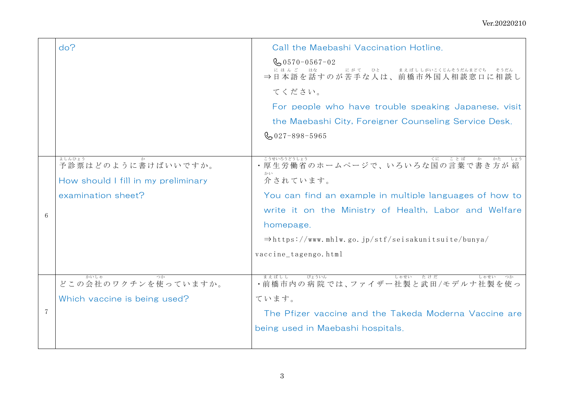|              | do?                                                                                       | Call the Maebashi Vaccination Hotline.<br>$\frac{1}{20}$ 0570-0567-02<br>にほんご はな<br>にがて ひと<br>まえばししがいこくじんそうだんまどぐち そうだん<br>⇒日本語を話すのが苦手な人は、前橋市外国人相談窓口に相談し<br>てください。<br>For people who have trouble speaking Japanese, visit<br>the Maebashi City, Foreigner Counseling Service Desk.          |
|--------------|-------------------------------------------------------------------------------------------|---------------------------------------------------------------------------------------------------------------------------------------------------------------------------------------------------------------------------------------------------------------------------------------------|
|              |                                                                                           | $\frac{6}{20}$ 027-898-5965                                                                                                                                                                                                                                                                 |
| $6 \sqrt{2}$ | よしんひょう<br>予診票はどのように書けばいいですか。<br>How should I fill in my preliminary<br>examination sheet? | こうせいろうどうしょう<br>・厚生労働省のホームページで、いろいろな国の言葉で書き方が紹<br>かい<br>介されています。<br>You can find an example in multiple languages of how to<br>write it on the Ministry of Health, Labor and Welfare<br>homepage.<br>$\Rightarrow$ https://www.mhlw.go.jp/stf/seisakunitsuite/bunya/<br>vaccine_tagengo.html |
| $\tau$       | かいしゃ<br>どこの会社のワクチンを使っていますか。<br>Which vaccine is being used?                               | びょういん<br>まえばしし<br>しゃせい たけだ<br>・前橋市内の病院では、ファイザー社製と武田/モデルナ社製を使っ<br>ています。<br>The Pfizer vaccine and the Takeda Moderna Vaccine are<br>being used in Maebashi hospitals.                                                                                                                        |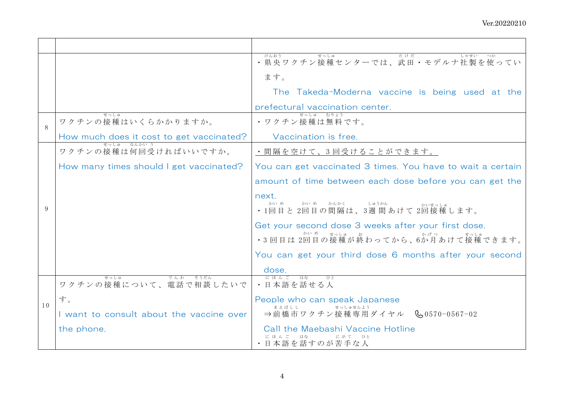|              |                                           | けんおう<br>せっしゅ<br>たけだ<br>・県央ワクチン接種センターでは、武田・モデルナ社製を使ってい                                                |
|--------------|-------------------------------------------|------------------------------------------------------------------------------------------------------|
|              |                                           | ます。                                                                                                  |
|              |                                           | The Takeda-Moderna vaccine is being used at the                                                      |
|              |                                           | prefectural vaccination center.                                                                      |
| 8            | せっしゅ<br>ワクチンの接種はいくらかかりますか。                | せっしゅ むりょう<br>• ワクチン接種は無料です。                                                                          |
|              | How much does it cost to get vaccinated?  | Vaccination is free.                                                                                 |
|              | せっしゅー なんかい う<br>ワクチンの接種は何回受ければいいですか。      | ・間隔を空けて、3 回受けることができます。                                                                               |
|              | How many times should I get vaccinated?   | You can get vaccinated 3 times. You have to wait a certain                                           |
|              |                                           | amount of time between each dose before you can get the                                              |
| $\mathsf{Q}$ |                                           | next.<br>かい め<br>かい めっかんかく<br>しゅうかん<br>かいせっしゅ<br>•1回目と2回目の間隔は、3週間あけて2回接種します。                         |
|              |                                           | Get your second dose 3 weeks after your first dose.<br>かい め せっしゅ<br>·3回目は2回目の接種が終わってから、6か月あけて接種できます。 |
|              |                                           | You can get your third dose 6 months after your second                                               |
|              |                                           | dose                                                                                                 |
|              | でんわ そうだん<br>せっしゅ<br>ワクチンの接種について、電話で相談したいで | にほんご はな<br>ひと<br>・日本語を話せる人                                                                           |
| 10           | す。                                        | People who can speak Japanese<br>まえばしし                                                               |
|              | I want to consult about the vaccine over  | せっしゅせんよう<br>⇒前橋市ワクチン接種専用ダイヤル & 0570-0567-02                                                          |
|              | the phone.                                | Call the Maebashi Vaccine Hotline<br>にほんご はな<br>にがて ひと<br>・日本語を話すのが苦手な人                              |